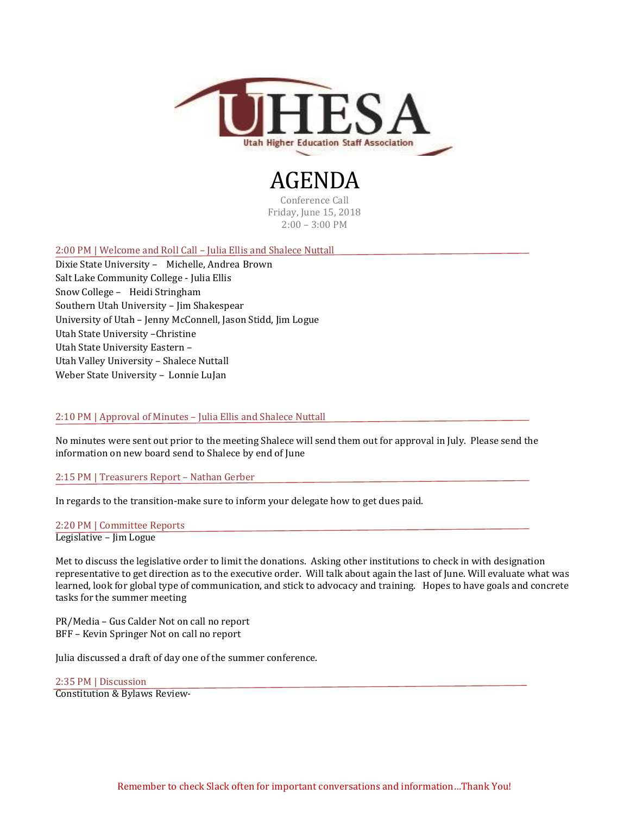

## AGENDA

Conference Call Friday, June 15, 2018 2:00 – 3:00 PM

2:00 PM | Welcome and Roll Call – Julia Ellis and Shalece Nuttall

Dixie State University – Michelle, Andrea Brown Salt Lake Community College - Julia Ellis Snow College – Heidi Stringham Southern Utah University – Jim Shakespear University of Utah – Jenny McConnell, Jason Stidd, Jim Logue Utah State University –Christine Utah State University Eastern – Utah Valley University – Shalece Nuttall Weber State University – Lonnie LuJan

## 2:10 PM | Approval of Minutes – Julia Ellis and Shalece Nuttall

No minutes were sent out prior to the meeting Shalece will send them out for approval in July. Please send the information on new board send to Shalece by end of June

2:15 PM | Treasurers Report – Nathan Gerber

In regards to the transition-make sure to inform your delegate how to get dues paid.

2:20 PM | Committee Reports Legislative – Jim Logue

Met to discuss the legislative order to limit the donations. Asking other institutions to check in with designation representative to get direction as to the executive order. Will talk about again the last of June. Will evaluate what was learned, look for global type of communication, and stick to advocacy and training. Hopes to have goals and concrete tasks for the summer meeting

PR/Media – Gus Calder Not on call no report BFF – Kevin Springer Not on call no report

Julia discussed a draft of day one of the summer conference.

2:35 PM | Discussion

Constitution & Bylaws Review-